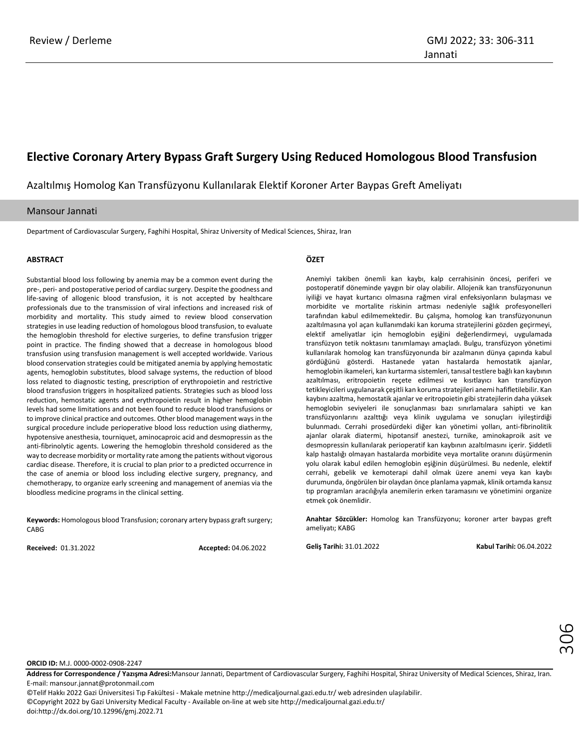# **Elective Coronary Artery Bypass Graft Surgery Using Reduced Homologous Blood Transfusion**

Azaltılmış Homolog Kan Transfüzyonu Kullanılarak Elektif Koroner Arter Baypas Greft Ameliyatı

### Mansour Jannati

Department of Cardiovascular Surgery, Faghihi Hospital, Shiraz University of Medical Sciences, Shiraz, Iran

#### **ABSTRACT**

Substantial blood loss following by anemia may be a common event during the pre-, peri- and postoperative period of cardiac surgery. Despite the goodness and life-saving of allogenic blood transfusion, it is not accepted by healthcare professionals due to the transmission of viral infections and increased risk of morbidity and mortality. This study aimed to review blood conservation strategies in use leading reduction of homologous blood transfusion, to evaluate the hemoglobin threshold for elective surgeries, to define transfusion trigger point in practice. The finding showed that a decrease in homologous blood transfusion using transfusion management is well accepted worldwide. Various blood conservation strategies could be mitigated anemia by applying hemostatic agents, hemoglobin substitutes, blood salvage systems, the reduction of blood loss related to diagnostic testing, prescription of erythropoietin and restrictive blood transfusion triggers in hospitalized patients. Strategies such as blood loss reduction, hemostatic agents and erythropoietin result in higher hemoglobin levels had some limitations and not been found to reduce blood transfusions or to improve clinical practice and outcomes. Other blood management ways in the surgical procedure include perioperative blood loss reduction using diathermy, hypotensive anesthesia, tourniquet, aminocaproic acid and desmopressin as the anti-fibrinolytic agents. Lowering the hemoglobin threshold considered as the way to decrease morbidity or mortality rate among the patients without vigorous cardiac disease. Therefore, it is crucial to plan prior to a predicted occurrence in the case of anemia or blood loss including elective surgery, pregnancy, and chemotherapy, to organize early screening and management of anemias via the bloodless medicine programs in the clinical setting.

**Keywords:** Homologous blood Transfusion; coronary artery bypass graft surgery; **CABG** 

**Received:** 01.31.2022 **Accepted:** 04.06.2022

### **ÖZET**

Anemiyi takiben önemli kan kaybı, kalp cerrahisinin öncesi, periferi ve postoperatif döneminde yaygın bir olay olabilir. Allojenik kan transfüzyonunun iyiliği ve hayat kurtarıcı olmasına rağmen viral enfeksiyonların bulaşması ve morbidite ve mortalite riskinin artması nedeniyle sağlık profesyonelleri tarafından kabul edilmemektedir. Bu çalışma, homolog kan transfüzyonunun azaltılmasına yol açan kullanımdaki kan koruma stratejilerini gözden geçirmeyi, elektif ameliyatlar için hemoglobin eşiğini değerlendirmeyi, uygulamada transfüzyon tetik noktasını tanımlamayı amaçladı. Bulgu, transfüzyon yönetimi kullanılarak homolog kan transfüzyonunda bir azalmanın dünya çapında kabul gördüğünü gösterdi. Hastanede yatan hastalarda hemostatik ajanlar, hemoglobin ikameleri, kan kurtarma sistemleri, tanısal testlere bağlı kan kaybının azaltılması, eritropoietin reçete edilmesi ve kısıtlayıcı kan transfüzyon tetikleyicileri uygulanarak çeşitli kan koruma stratejileri anemi hafifletilebilir. Kan kaybını azaltma, hemostatik ajanlar ve eritropoietin gibi stratejilerin daha yüksek hemoglobin seviyeleri ile sonuçlanması bazı sınırlamalara sahipti ve kan transfüzyonlarını azalttığı veya klinik uygulama ve sonuçları iyileştirdiği bulunmadı. Cerrahi prosedürdeki diğer kan yönetimi yolları, anti-fibrinolitik ajanlar olarak diatermi, hipotansif anestezi, turnike, aminokaproik asit ve desmopressin kullanılarak perioperatif kan kaybının azaltılmasını içerir. Şiddetli kalp hastalığı olmayan hastalarda morbidite veya mortalite oranını düşürmenin yolu olarak kabul edilen hemoglobin eşiğinin düşürülmesi. Bu nedenle, elektif cerrahi, gebelik ve kemoterapi dahil olmak üzere anemi veya kan kaybı durumunda, öngörülen bir olaydan önce planlama yapmak, klinik ortamda kansız tıp programları aracılığıyla anemilerin erken taramasını ve yönetimini organize etmek çok önemlidir.

**Anahtar Sözcükler:** Homolog kan Transfüzyonu; koroner arter baypas greft ameliyatı; KABG

**Geliş Tarihi:** 31.01.2022 **Kabul Tarihi:** 06.04.2022

**ORCID ID:** M.J. 0000-0002-0908-2247

**Address for Correspondence / Yazışma Adresi:**Mansour Jannati, Department of Cardiovascular Surgery, Faghihi Hospital, Shiraz University of Medical Sciences, Shiraz, Iran. E-mail[: mansour.jannat@protonmail.com](mailto:mansour.jannat@protonmail.com)

©Telif Hakkı 2022 Gazi Üniversitesi Tıp Fakültesi - Makale metnine http://medicaljournal.gazi.edu.tr/ web adresinden ulaşılabilir. ©Copyright 2022 by Gazi University Medical Faculty - Available on-line at web site http://medicaljournal.gazi.edu.tr/ doi:http://dx.doi.org/10.12996/gmj.2022.71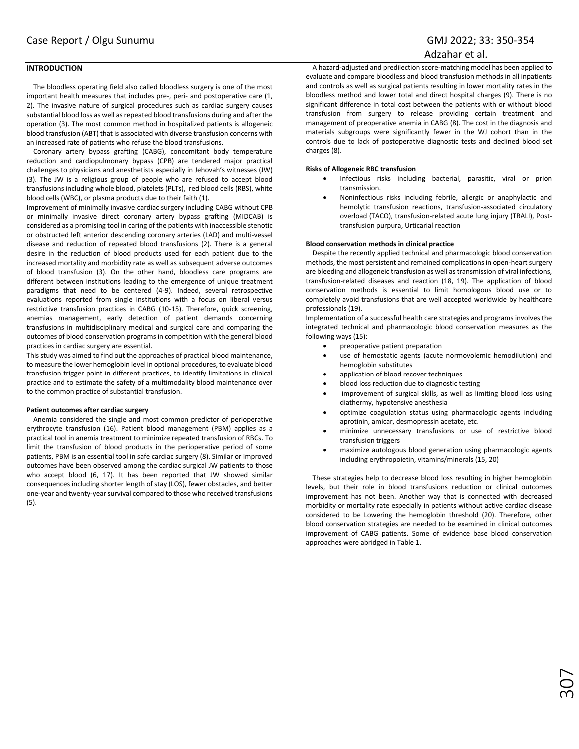## **INTRODUCTION**

The bloodless operating field also called bloodless surgery is one of the most important health measures that includes pre-, peri- and postoperative care (1, 2). The invasive nature of surgical procedures such as cardiac surgery causes substantial blood loss as well as repeated blood transfusions during and after the operation (3). The most common method in hospitalized patients is allogeneic blood transfusion (ABT) that is associated with diverse transfusion concerns with an increased rate of patients who refuse the blood transfusions.

Coronary artery bypass grafting (CABG), concomitant body temperature reduction and cardiopulmonary bypass (CPB) are tendered major practical challenges to physicians and anesthetists especially in Jehovah's witnesses (JW) (3). The JW is a religious group of people who are refused to accept blood transfusions including whole blood, platelets (PLTs), red blood cells (RBS), white blood cells (WBC), or plasma products due to their faith (1).

Improvement of minimally invasive cardiac surgery including CABG without CPB or minimally invasive direct coronary artery bypass grafting (MIDCAB) is considered as a promising tool in caring of the patients with inaccessible stenotic or obstructed left anterior descending coronary arteries (LAD) and multi-vessel disease and reduction of repeated blood transfusions (2). There is a general desire in the reduction of blood products used for each patient due to the increased mortality and morbidity rate as well as subsequent adverse outcomes of blood transfusion (3). On the other hand, bloodless care programs are different between institutions leading to the emergence of unique treatment paradigms that need to be centered (4-9). Indeed, several retrospective evaluations reported from single institutions with a focus on liberal versus restrictive transfusion practices in CABG (10-15). Therefore, quick screening, anemias management, early detection of patient demands concerning transfusions in multidisciplinary medical and surgical care and comparing the outcomes of blood conservation programs in competition with the general blood practices in cardiac surgery are essential.

This study was aimed to find out the approaches of practical blood maintenance, to measure the lower hemoglobin level in optional procedures, to evaluate blood transfusion trigger point in different practices, to identify limitations in clinical practice and to estimate the safety of a multimodality blood maintenance over to the common practice of substantial transfusion.

#### **Patient outcomes after cardiac surgery**

Anemia considered the single and most common predictor of perioperative erythrocyte transfusion (16). Patient blood management (PBM) applies as a practical tool in anemia treatment to minimize repeated transfusion of RBCs. To limit the transfusion of blood products in the perioperative period of some patients, PBM is an essential tool in safe cardiac surgery (8). Similar or improved outcomes have been observed among the cardiac surgical JW patients to those who accept blood (6, 17). It has been reported that JW showed similar consequences including shorter length of stay (LOS), fewer obstacles, and better one-year and twenty-year survival compared to those who received transfusions (5).

A hazard-adjusted and predilection score-matching model has been applied to evaluate and compare bloodless and blood transfusion methods in all inpatients and controls as well as surgical patients resulting in lower mortality rates in the bloodless method and lower total and direct hospital charges (9). There is no significant difference in total cost between the patients with or without blood transfusion from surgery to release providing certain treatment and management of preoperative anemia in CABG (8). The cost in the diagnosis and materials subgroups were significantly fewer in the WJ cohort than in the controls due to lack of postoperative diagnostic tests and declined blood set charges (8).

#### **Risks of Allogeneic RBC transfusion**

- Infectious risks including bacterial, parasitic, viral or prion transmission.
- Noninfectious risks including febrile, allergic or anaphylactic and hemolytic transfusion reactions, transfusion-associated circulatory overload (TACO), transfusion-related acute lung injury (TRALI), Posttransfusion purpura, Urticarial reaction

#### **Blood conservation methods in clinical practice**

Despite the recently applied technical and pharmacologic blood conservation methods, the most persistent and remained complications in open-heart surgery are bleeding and allogeneic transfusion as well as transmission of viral infections, transfusion-related diseases and reaction (18, 19). The application of blood conservation methods is essential to limit homologous blood use or to completely avoid transfusions that are well accepted worldwide by healthcare professionals (19).

Implementation of a successful health care strategies and programs involves the integrated technical and pharmacologic blood conservation measures as the following ways (15):

- preoperative patient preparation
- use of hemostatic agents (acute normovolemic hemodilution) and hemoglobin substitutes
- application of blood recover techniques
- blood loss reduction due to diagnostic testing
- improvement of surgical skills, as well as limiting blood loss using diathermy, hypotensive anesthesia
- optimize coagulation status using pharmacologic agents including aprotinin, amicar, desmopressin acetate, etc.
- minimize unnecessary transfusions or use of restrictive blood transfusion triggers
- maximize autologous blood generation using pharmacologic agents including erythropoietin, vitamins/minerals (15, 20)

These strategies help to decrease blood loss resulting in higher hemoglobin levels, but their role in blood transfusions reduction or clinical outcomes improvement has not been. Another way that is connected with decreased morbidity or mortality rate especially in patients without active cardiac disease considered to be Lowering the hemoglobin threshold (20). Therefore, other blood conservation strategies are needed to be examined in clinical outcomes improvement of CABG patients. Some of evidence base blood conservation approaches were abridged in Table 1.

307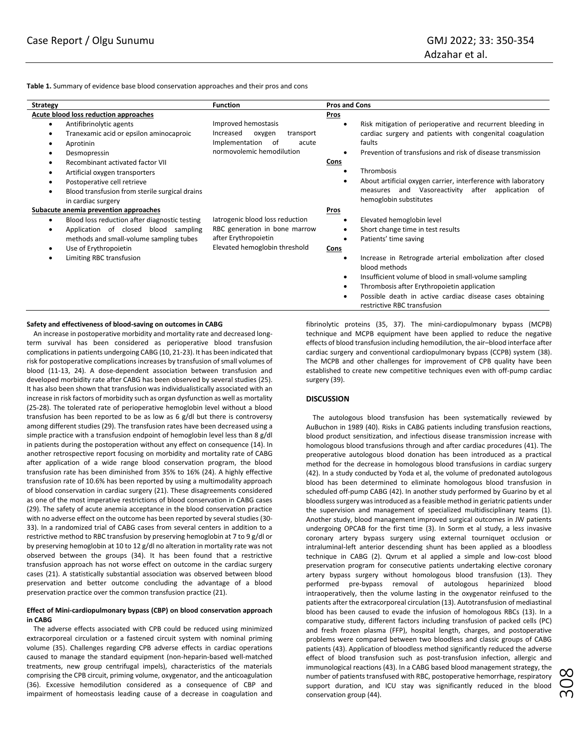**Table 1.** Summary of evidence base blood conservation approaches and their pros and cons

| <b>Strategy</b>                                                                                                                                                                                                                                                                                                                                            | <b>Function</b>                                                                                                           | <b>Pros and Cons</b>                                                                                                                                                                                                                                                                                                                                                                                         |
|------------------------------------------------------------------------------------------------------------------------------------------------------------------------------------------------------------------------------------------------------------------------------------------------------------------------------------------------------------|---------------------------------------------------------------------------------------------------------------------------|--------------------------------------------------------------------------------------------------------------------------------------------------------------------------------------------------------------------------------------------------------------------------------------------------------------------------------------------------------------------------------------------------------------|
| Acute blood loss reduction approaches                                                                                                                                                                                                                                                                                                                      |                                                                                                                           | Pros                                                                                                                                                                                                                                                                                                                                                                                                         |
| Antifibrinolytic agents<br>$\bullet$<br>Tranexamic acid or epsilon aminocaproic<br>Aprotinin<br>$\bullet$<br>Desmopressin<br>$\bullet$<br>Recombinant activated factor VII<br>Artificial oxygen transporters<br>$\bullet$<br>Postoperative cell retrieve<br>$\bullet$<br>Blood transfusion from sterile surgical drains<br>$\bullet$<br>in cardiac surgery | Improved hemostasis<br>Increased<br>oxygen<br>transport<br>Implementation<br>of<br>acute<br>normovolemic hemodilution     | Risk mitigation of perioperative and recurrent bleeding in<br>٠<br>cardiac surgery and patients with congenital coagulation<br>faults<br>Prevention of transfusions and risk of disease transmission<br>Cons<br>Thrombosis<br>$\bullet$<br>About artificial oxygen carrier, interference with laboratory<br>$\bullet$<br>and Vasoreactivity<br>after<br>application of<br>measures<br>hemoglobin substitutes |
| Subacute anemia prevention approaches<br>Blood loss reduction after diagnostic testing<br>٠<br>Application of closed blood sampling<br>methods and small-volume sampling tubes<br>Use of Erythropoietin<br>$\bullet$<br>Limiting RBC transfusion<br>$\bullet$                                                                                              | latrogenic blood loss reduction<br>RBC generation in bone marrow<br>after Erythropoietin<br>Elevated hemoglobin threshold | <b>Pros</b><br>Elevated hemoglobin level<br>$\bullet$<br>Short change time in test results<br>$\bullet$<br>Patients' time saving<br>$\bullet$<br>Cons<br>Increase in Retrograde arterial embolization after closed<br>$\bullet$                                                                                                                                                                              |
|                                                                                                                                                                                                                                                                                                                                                            |                                                                                                                           | blood methods<br>Insufficient volume of blood in small-volume sampling<br>٠<br>Thrombosis after Erythropoietin application<br>٠<br>Possible death in active cardiac disease cases obtaining<br>$\bullet$<br>restrictive RBC transfusion                                                                                                                                                                      |

#### **Safety and effectiveness of blood-saving on outcomes in CABG**

An increase in postoperative morbidity and mortality rate and decreased longterm survival has been considered as perioperative blood transfusion complications in patients undergoing CABG (10, 21-23). It has been indicated that risk for postoperative complications increases by transfusion of small volumes of blood (11-13, 24). A dose-dependent association between transfusion and developed morbidity rate after CABG has been observed by several studies (25). It has also been shown that transfusion was individualistically associated with an increase in risk factors of morbidity such as organ dysfunction as well as mortality (25-28). The tolerated rate of perioperative hemoglobin level without a blood transfusion has been reported to be as low as 6 g/dl but there is controversy among different studies (29). The transfusion rates have been decreased using a simple practice with a transfusion endpoint of hemoglobin level less than 8 g/dl in patients during the postoperation without any effect on consequence (14). In another retrospective report focusing on morbidity and mortality rate of CABG after application of a wide range blood conservation program, the blood transfusion rate has been diminished from 35% to 16% (24). A highly effective transfusion rate of 10.6% has been reported by using a multimodality approach of blood conservation in cardiac surgery (21). These disagreements considered as one of the most imperative restrictions of blood conservation in CABG cases (29). The safety of acute anemia acceptance in the blood conservation practice with no adverse effect on the outcome has been reported by several studies (30- 33). In a randomized trial of CABG cases from several centers in addition to a restrictive method to RBC transfusion by preserving hemoglobin at 7 to 9 g/dl or by preserving hemoglobin at 10 to 12 g/dl no alteration in mortality rate was not observed between the groups (34). It has been found that a restrictive transfusion approach has not worse effect on outcome in the cardiac surgery cases (21). A statistically substantial association was observed between blood preservation and better outcome concluding the advantage of a blood preservation practice over the common transfusion practice (21).

#### **Effect of Mini-cardiopulmonary bypass (CBP) on blood conservation approach in CABG**

The adverse effects associated with CPB could be reduced using minimized extracorporeal circulation or a fastened circuit system with nominal priming volume (35). Challenges regarding CPB adverse effects in cardiac operations caused to manage the standard equipment (non-heparin-based well-matched treatments, new group centrifugal impels), characteristics of the materials comprising the CPB circuit, priming volume, oxygenator, and the anticoagulation (36). Excessive hemodilution considered as a consequence of CBP and impairment of homeostasis leading cause of a decrease in coagulation and

fibrinolytic proteins (35, 37). The mini-cardiopulmonary bypass (MCPB) technique and MCPB equipment have been applied to reduce the negative effects of blood transfusion including hemodilution, the air–blood interface after cardiac surgery and conventional cardiopulmonary bypass (CCPB) system (38). The MCPB and other challenges for improvement of CPB quality have been established to create new competitive techniques even with off-pump cardiac surgery (39).

#### **DISCUSSION**

The autologous blood transfusion has been systematically reviewed by AuBuchon in 1989 (40). Risks in CABG patients including transfusion reactions, blood product sensitization, and infectious disease transmission increase with homologous blood transfusions through and after cardiac procedures (41). The preoperative autologous blood donation has been introduced as a practical method for the decrease in homologous blood transfusions in cardiac surgery (42). In a study conducted by Yoda et al, the volume of predonated autologous blood has been determined to eliminate homologous blood transfusion in scheduled off-pump CABG (42). In another study performed by Guarino by et al bloodless surgery was introduced as a feasible method in geriatric patients under the supervision and management of specialized multidisciplinary teams (1). Another study, blood management improved surgical outcomes in JW patients undergoing OPCAB for the first time (3). In Sorm et al study, a less invasive coronary artery bypass surgery using external tourniquet occlusion or intraluminal-left anterior descending shunt has been applied as a bloodless technique in CABG (2). Qvrum et al applied a simple and low-cost blood preservation program for consecutive patients undertaking elective coronary artery bypass surgery without homologous blood transfusion (13). They performed pre-bypass removal of autologous heparinized blood intraoperatively, then the volume lasting in the oxygenator reinfused to the patients after the extracorporeal circulation (13). Autotransfusion of mediastinal blood has been caused to evade the infusion of homologous RBCs (13). In a comparative study, different factors including transfusion of packed cells (PC) and fresh frozen plasma (FFP), hospital length, charges, and postoperative problems were compared between two bloodless and classic groups of CABG patients (43). Application of bloodless method significantly reduced the adverse effect of blood transfusion such as post-transfusion infection, allergic and immunological reactions (43). In a CABG based blood management strategy, the number of patients transfused with RBC, postoperative hemorrhage, respiratory support duration, and ICU stay was significantly reduced in the blood conservation group (44).

308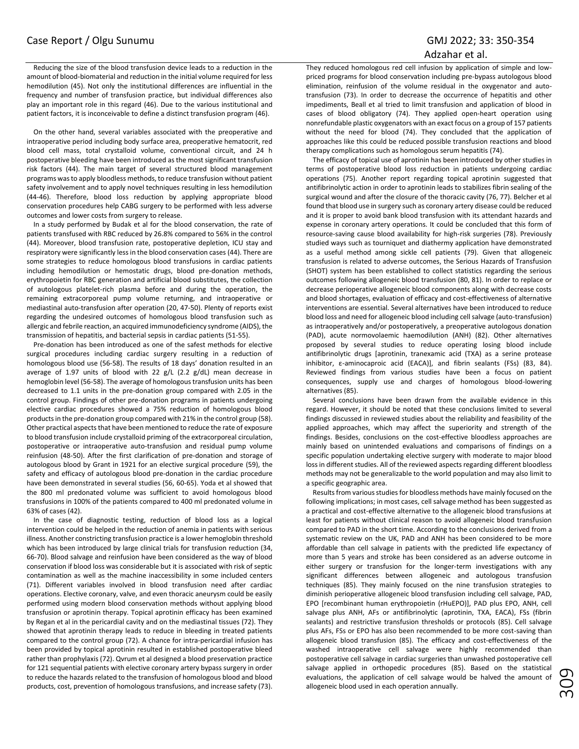# Case Report / Olgu Sunumu GMJ 2022; 33: 350-354

# Adzahar et al.

Reducing the size of the blood transfusion device leads to a reduction in the amount of blood-biomaterial and reduction in the initial volume required for less hemodilution (45). Not only the institutional differences are influential in the frequency and number of transfusion practice, but individual differences also play an important role in this regard (46). Due to the various institutional and patient factors, it is inconceivable to define a distinct transfusion program (46).

On the other hand, several variables associated with the preoperative and intraoperative period including body surface area, preoperative hematocrit, red blood cell mass, total crystalloid volume, conventional circuit, and 24 h postoperative bleeding have been introduced as the most significant transfusion risk factors (44). The main target of several structured blood management programs was to apply bloodless methods, to reduce transfusion without patient safety involvement and to apply novel techniques resulting in less hemodilution (44-46). Therefore, blood loss reduction by applying appropriate blood conservation procedures help CABG surgery to be performed with less adverse outcomes and lower costs from surgery to release.

In a study performed by Budak et al for the blood conservation, the rate of patients transfused with RBC reduced by 26.8% compared to 56% in the control (44). Moreover, blood transfusion rate, postoperative depletion, ICU stay and respiratory were significantly less in the blood conservation cases (44). There are some strategies to reduce homologous blood transfusions in cardiac patients including hemodilution or hemostatic drugs, blood pre-donation methods, erythropoietin for RBC generation and artificial blood substitutes, the collection of autologous platelet-rich plasma before and during the operation, the remaining extracorporeal pump volume returning, and intraoperative or mediastinal auto-transfusion after operation (20, 47-50). Plenty of reports exist regarding the undesired outcomes of homologous blood transfusion such as allergic and febrile reaction, an acquired immunodeficiency syndrome (AIDS), the transmission of hepatitis, and bacterial sepsis in cardiac patients (51-55).

Pre-donation has been introduced as one of the safest methods for elective surgical procedures including cardiac surgery resulting in a reduction of homologous blood use (56-58). The results of 18 days' donation resulted in an average of 1.97 units of blood with 22  $g/L$  (2.2  $g/dL$ ) mean decrease in hemoglobin level (56-58). The average of homologous transfusion units has been decreased to 1.1 units in the pre-donation group compared with 2.05 in the control group. Findings of other pre-donation programs in patients undergoing elective cardiac procedures showed a 75% reduction of homologous blood products in the pre-donation group compared with 21% in the control group (58). Other practical aspects that have been mentioned to reduce the rate of exposure to blood transfusion include crystalloid priming of the extracorporeal circulation, postoperative or intraoperative auto-transfusion and residual pump volume reinfusion (48-50). After the first clarification of pre-donation and storage of autologous blood by Grant in 1921 for an elective surgical procedure (59), the safety and efficacy of autologous blood pre-donation in the cardiac procedure have been demonstrated in several studies (56, 60-65). Yoda et al showed that the 800 ml predonated volume was sufficient to avoid homologous blood transfusions in 100% of the patients compared to 400 ml predonated volume in 63% of cases (42).

In the case of diagnostic testing, reduction of blood loss as a logical intervention could be helped in the reduction of anemia in patients with serious illness. Another constricting transfusion practice is a lower hemoglobin threshold which has been introduced by large clinical trials for transfusion reduction (34, 66-70). Blood salvage and reinfusion have been considered as the way of blood conservation if blood loss was considerable but it is associated with risk of septic contamination as well as the machine inaccessibility in some included centers (71). Different variables involved in blood transfusion need after cardiac operations. Elective coronary, valve, and even thoracic aneurysm could be easily performed using modern blood conservation methods without applying blood transfusion or aprotinin therapy. Topical aprotinin efficacy has been examined by Regan et al in the pericardial cavity and on the mediastinal tissues (72). They showed that aprotinin therapy leads to reduce in bleeding in treated patients compared to the control group (72). A chance for intra-pericardial infusion has been provided by topical aprotinin resulted in established postoperative bleed rather than prophylaxis (72). Qvrum et al designed a blood preservation practice for 121 sequential patients with elective coronary artery bypass surgery in order to reduce the hazards related to the transfusion of homologous blood and blood products, cost, prevention of homologous transfusions, and increase safety (73).

They reduced homologous red cell infusion by application of simple and lowpriced programs for blood conservation including pre-bypass autologous blood elimination, reinfusion of the volume residual in the oxygenator and autotransfusion (73). In order to decrease the occurrence of hepatitis and other impediments, Beall et al tried to limit transfusion and application of blood in cases of blood obligatory (74). They applied open-heart operation using nonrefundable plastic oxygenators with an exact focus on a group of 157 patients without the need for blood (74). They concluded that the application of approaches like this could be reduced possible transfusion reactions and blood therapy complications such as homologous serum hepatitis (74).

The efficacy of topical use of aprotinin has been introduced by other studies in terms of postoperative blood loss reduction in patients undergoing cardiac operations (75). Another report regarding topical aprotinin suggested that antifibrinolytic action in order to aprotinin leads to stabilizes fibrin sealing of the surgical wound and after the closure of the thoracic cavity (76, 77). Belcher et al found that blood use in surgery such as coronary artery disease could be reduced and it is proper to avoid bank blood transfusion with its attendant hazards and expense in coronary artery operations. It could be concluded that this form of resource-saving cause blood availability for high-risk surgeries (78). Previously studied ways such as tourniquet and diathermy application have demonstrated as a useful method among sickle cell patients (79). Given that allogeneic transfusion is related to adverse outcomes, the Serious Hazards of Transfusion (SHOT) system has been established to collect statistics regarding the serious outcomes following allogeneic blood transfusion (80, 81). In order to replace or decrease perioperative allogeneic blood components along with decrease costs and blood shortages, evaluation of efficacy and cost-effectiveness of alternative interventions are essential. Several alternatives have been introduced to reduce blood loss and need for allogeneic blood including cell salvage (auto-transfusion) as intraoperatively and/or postoperatively, a preoperative autologous donation (PAD), acute normovolaemic haemodilution (ANH) (82). Other alternatives proposed by several studies to reduce operating losing blood include antifibrinolytic drugs [aprotinin, tranexamic acid (TXA) as a serine protease inhibitor, ε-aminocaproic acid (EACA)], and fibrin sealants (FSs) (83, 84). Reviewed findings from various studies have been a focus on patient consequences, supply use and charges of homologous blood-lowering alternatives (85).

Several conclusions have been drawn from the available evidence in this regard. However, it should be noted that these conclusions limited to several findings discussed in reviewed studies about the reliability and feasibility of the applied approaches, which may affect the superiority and strength of the findings. Besides, conclusions on the cost-effective bloodless approaches are mainly based on unintended evaluations and comparisons of findings on a specific population undertaking elective surgery with moderate to major blood loss in different studies. All of the reviewed aspects regarding different bloodless methods may not be generalizable to the world population and may also limit to a specific geographic area.

Results from various studies for bloodless methods have mainly focused on the following implications; in most cases, cell salvage method has been suggested as a practical and cost-effective alternative to the allogeneic blood transfusions at least for patients without clinical reason to avoid allogeneic blood transfusion compared to PAD in the short time. According to the conclusions derived from a systematic review on the UK, PAD and ANH has been considered to be more affordable than cell salvage in patients with the predicted life expectancy of more than 5 years and stroke has been considered as an adverse outcome in either surgery or transfusion for the longer-term investigations with any significant differences between allogeneic and autologous transfusion techniques (85). They mainly focused on the nine transfusion strategies to diminish perioperative allogeneic blood transfusion including cell salvage, PAD, EPO [recombinant human erythropoietin (rHuEPO)], PAD plus EPO, ANH, cell salvage plus ANH, AFs or antifibrinolytic (aprotinin, TXA, EACA), FSs (fibrin sealants) and restrictive transfusion thresholds or protocols (85). Cell salvage plus AFs, FSs or EPO has also been recommended to be more cost-saving than allogeneic blood transfusion (85). The efficacy and cost-effectiveness of the washed intraoperative cell salvage were highly recommended than postoperative cell salvage in cardiac surgeries than unwashed postoperative cell salvage applied in orthopedic procedures (85). Based on the statistical evaluations, the application of cell salvage would be halved the amount of allogeneic blood used in each operation annually.

309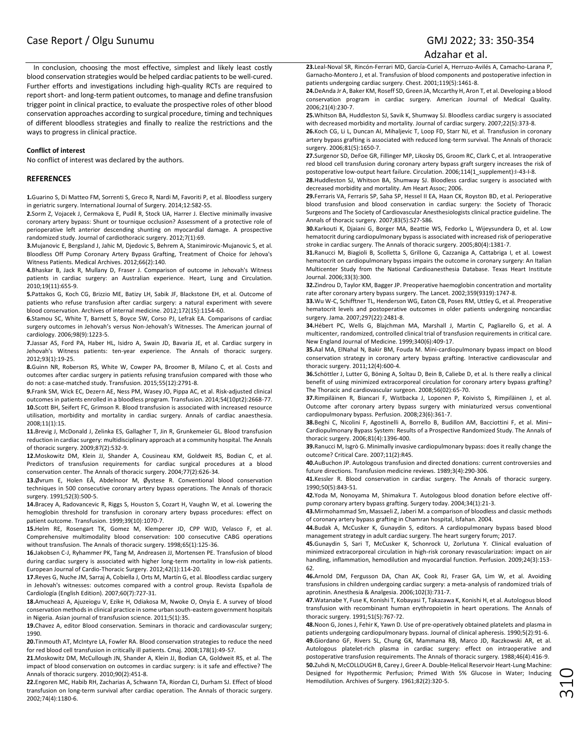# Case Report / Olgu Sunumu GMJ 2022; 33: 350-354

#### Adzahar et al.

In conclusion, choosing the most effective, simplest and likely least costly blood conservation strategies would be helped cardiac patients to be well-cured. Further efforts and investigations including high-quality RCTs are required to report short- and long-term patient outcomes, to manage and define transfusion trigger point in clinical practice, to evaluate the prospective roles of other blood conservation approaches according to surgical procedure, timing and techniques of different bloodless strategies and finally to realize the restrictions and the ways to progress in clinical practice.

#### **Conflict of interest**

No conflict of interest was declared by the authors.

#### **REFERENCES**

**1.**Guarino S, Di Matteo FM, Sorrenti S, Greco R, Nardi M, Favoriti P, et al. Bloodless surgery in geriatric surgery. International Journal of Surgery. 2014;12:S82-S5.

**2.**Sorm Z, Vojacek J, Cermakova E, Pudil R, Stock UA, Harrer J. Elective minimally invasive coronary artery bypass: Shunt or tournique occlusion? Assessment of a protective role of perioperative left anterior descending shunting on myocardial damage. A prospective randomized study. Journal of cardiothoracic surgery. 2012;7(1):69.

**3.**Mujanovic E, Bergsland J, Jahic M, Djedovic S, Behrem A, Stanimirovic-Mujanovic S, et al. Bloodless Off Pump Coronary Artery Bypass Grafting, Treatment of Choice for Jehova's Witness Patients. Medical Archives. 2012;66(2):140.

**4.**Bhaskar B, Jack R, Mullany D, Fraser J. Comparison of outcome in Jehovah's Witness patients in cardiac surgery: an Australian experience. Heart, Lung and Circulation. 2010;19(11):655-9.

**5.**Pattakos G, Koch CG, Brizzio ME, Batizy LH, Sabik JF, Blackstone EH, et al. Outcome of patients who refuse transfusion after cardiac surgery: a natural experiment with severe blood conservation. Archives of internal medicine. 2012;172(15):1154-60.

**6.**Stamou SC, White T, Barnett S, Boyce SW, Corso PJ, Lefrak EA. Comparisons of cardiac surgery outcomes in Jehovah's versus Non-Jehovah's Witnesses. The American journal of cardiology. 2006;98(9):1223-5.

**7.**Jassar AS, Ford PA, Haber HL, Isidro A, Swain JD, Bavaria JE, et al. Cardiac surgery in Jehovah's Witness patients: ten-year experience. The Annals of thoracic surgery. 2012;93(1):19-25.

**8.**Guinn NR, Roberson RS, White W, Cowper PA, Broomer B, Milano C, et al. Costs and outcomes after cardiac surgery in patients refusing transfusion compared with those who do not: a case‐matched study. Transfusion. 2015;55(12):2791-8.

**9.**Frank SM, Wick EC, Dezern AE, Ness PM, Wasey JO, Pippa AC, et al. Risk‐adjusted clinical outcomes in patients enrolled in a bloodless program. Transfusion. 2014;54(10pt2):2668-77. **10.**Scott BH, Seifert FC, Grimson R. Blood transfusion is associated with increased resource utilisation, morbidity and mortality in cardiac surgery. Annals of cardiac anaesthesia. 2008;11(1):15.

**11.**Brevig J, McDonald J, Zelinka ES, Gallagher T, Jin R, Grunkemeier GL. Blood transfusion reduction in cardiac surgery: multidisciplinary approach at a community hospital. The Annals of thoracic surgery. 2009;87(2):532-9.

**12.**Moskowitz DM, Klein JJ, Shander A, Cousineau KM, Goldweit RS, Bodian C, et al. Predictors of transfusion requirements for cardiac surgical procedures at a blood conservation center. The Annals of thoracic surgery. 2004;77(2):626-34.

**13.**Øvrum E, Holen EÅ, Abdelnoor M, Øystese R. Conventional blood conservation techniques in 500 consecutive coronary artery bypass operations. The Annals of thoracic surgery. 1991;52(3):500-5.

**14.**Bracey A, Radovancevic R, Riggs S, Houston S, Cozart H, Vaughn W, et al. Lowering the hemoglobin threshold for transfusion in coronary artery bypass procedures: effect on patient outcome. Transfusion. 1999;39(10):1070-7.

**15.**Helm RE, Rosengart TK, Gomez M, Klemperer JD, CPP WJD, Velasco F, et al. Comprehensive multimodality blood conservation: 100 consecutive CABG operations without transfusion. The Annals of thoracic surgery. 1998;65(1):125-36.

**16.**Jakobsen C-J, Ryhammer PK, Tang M, Andreasen JJ, Mortensen PE. Transfusion of blood during cardiac surgery is associated with higher long-term mortality in low-risk patients. European Journal of Cardio-Thoracic Surgery. 2012;42(1):114-20.

**17.**Reyes G, Nuche JM, Sarraj A, Cobiella J, Orts M, Martín G, et al. Bloodless cardiac surgery in Jehovah's witnesses: outcomes compared with a control group. Revista Española de Cardiología (English Edition). 2007;60(7):727-31.

**18.**Amucheazi A, Ajuzeiogu V, Ezike H, Odiakosa M, Nwoke O, Onyia E. A survey of blood conservation methods in clinical practice in some urban south-eastern government hospitals in Nigeria. Asian journal of transfusion science. 2011;5(1):35.

**19.**Chavez A, editor Blood conservation. Seminars in thoracic and cardiovascular surgery; 1990.

**20.**Tinmouth AT, McIntyre LA, Fowler RA. Blood conservation strategies to reduce the need for red blood cell transfusion in critically ill patients. Cmaj. 2008;178(1):49-57.

**21.**Moskowitz DM, McCullough JN, Shander A, Klein JJ, Bodian CA, Goldweit RS, et al. The impact of blood conservation on outcomes in cardiac surgery: is it safe and effective? The Annals of thoracic surgery. 2010;90(2):451-8.

**22.**Engoren MC, Habib RH, Zacharias A, Schwann TA, Riordan CJ, Durham SJ. Effect of blood transfusion on long-term survival after cardiac operation. The Annals of thoracic surgery. 2002;74(4):1180-6.

**23.**Leal-Noval SR, Rincón-Ferrari MD, García-Curiel A, Herruzo-Avilés A, Camacho-Larana P, Garnacho-Montero J, et al. Transfusion of blood components and postoperative infection in patients undergoing cardiac surgery. Chest. 2001;119(5):1461-8.

**24.**DeAnda Jr A, Baker KM, Roseff SD, Green JA, Mccarthy H, Aron T, et al. Developing a blood conservation program in cardiac surgery. American Journal of Medical Quality. 2006;21(4):230-7.

**25.**Whitson BA, Huddleston SJ, Savik K, Shumway SJ. Bloodless cardiac surgery is associated with decreased morbidity and mortality. Journal of cardiac surgery. 2007;22(5):373-8.

**26.**Koch CG, Li L, Duncan AI, Mihaljevic T, Loop FD, Starr NJ, et al. Transfusion in coronary artery bypass grafting is associated with reduced long-term survival. The Annals of thoracic surgery. 2006;81(5):1650-7.

**27.**Surgenor SD, DeFoe GR, Fillinger MP, Likosky DS, Groom RC, Clark C, et al. Intraoperative red blood cell transfusion during coronary artery bypass graft surgery increases the risk of postoperative low-output heart failure. Circulation. 2006;114(1\_supplement):I-43-I-8.

**28.**Huddleston SJ, Whitson BA, Shumway SJ. Bloodless cardiac surgery is associated with decreased morbidity and mortality. Am Heart Assoc; 2006.

**29.**Ferraris VA, Ferraris SP, Saha SP, Hessel II EA, Haan CK, Royston BD, et al. Perioperative blood transfusion and blood conservation in cardiac surgery: the Society of Thoracic Surgeons and The Society of Cardiovascular Anesthesiologists clinical practice guideline. The Annals of thoracic surgery. 2007;83(5):S27-S86.

**30.**Karkouti K, Djaiani G, Borger MA, Beattie WS, Fedorko L, Wijeysundera D, et al. Low hematocrit during cardiopulmonary bypass is associated with increased risk of perioperative stroke in cardiac surgery. The Annals of thoracic surgery. 2005;80(4):1381-7.

**31.**Ranucci M, Biagioli B, Scolletta S, Grillone G, Cazzaniga A, Cattabriga I, et al. Lowest hematocrit on cardiopulmonary bypass impairs the outcome in coronary surgery: An Italian Multicenter Study from the National Cardioanesthesia Database. Texas Heart Institute Journal. 2006;33(3):300.

**32.**Zindrou D, Taylor KM, Bagger JP. Preoperative haemoglobin concentration and mortality rate after coronary artery bypass surgery. The Lancet. 2002;359(9319):1747-8.

**33.**Wu W-C, Schifftner TL, Henderson WG, Eaton CB, Poses RM, Uttley G, et al. Preoperative hematocrit levels and postoperative outcomes in older patients undergoing noncardiac surgery. Jama. 2007;297(22):2481-8.

**34.**Hébert PC, Wells G, Blajchman MA, Marshall J, Martin C, Pagliarello G, et al. A multicenter, randomized, controlled clinical trial of transfusion requirements in critical care. New England Journal of Medicine. 1999;340(6):409-17.

**35.**Aal MA, ElNahal N, Bakir BM, Fouda M. Mini-cardiopulmonary bypass impact on blood conservation strategy in coronary artery bypass grafting. Interactive cardiovascular and thoracic surgery. 2011;12(4):600-4.

**36.**Schöttler J, Lutter G, Böning A, Soltau D, Bein B, Caliebe D, et al. Is there really a clinical benefit of using minimized extracorporeal circulation for coronary artery bypass grafting? The Thoracic and cardiovascular surgeon. 2008;56(02):65-70.

**37.**Rimpiläinen R, Biancari F, Wistbacka J, Loponen P, Koivisto S, Rimpiläinen J, et al. Outcome after coronary artery bypass surgery with miniaturized versus conventional cardiopulmonary bypass. Perfusion. 2008;23(6):361-7.

**38.**Beghi C, Nicolini F, Agostinelli A, Borrello B, Budillon AM, Bacciottini F, et al. Mini– Cardiopulmonary Bypass System: Results of a Prospective Randomized Study. The Annals of thoracic surgery. 2006;81(4):1396-400.

**39.**Ranucci M, Isgrò G. Minimally invasive cardiopulmonary bypass: does it really change the outcome? Critical Care. 2007;11(2):R45.

**40.**AuBuchon JP. Autologous transfusion and directed donations: current controversies and future directions. Transfusion medicine reviews. 1989;3(4):290-306.

**41.**Kessler R. Blood conservation in cardiac surgery. The Annals of thoracic surgery. 1990;50(5):843-51.

**42.**Yoda M, Nonoyama M, Shimakura T. Autologous blood donation before elective offpump coronary artery bypass grafting. Surgery today. 2004;34(1):21-3.

**43.**Mirmohammad Sm, Massaeli Z, Jaberi M. a comparison of bloodless and classic methods of coronary artery bypass grafting in Chamran hospital, Isfahan. 2004.

**44.**Budak A, McCusker K, Gunaydin S, editors. A cardiopulmonary bypass based blood management strategy in adult cardiac surgery. The heart surgery forum; 2017.

**45.**Gunaydin S, Sari T, McCusker K, Schonrock U, Zorlutuna Y. Clinical evaluation of minimized extracorporeal circulation in high-risk coronary revascularization: impact on air handling, inflammation, hemodilution and myocardial function. Perfusion. 2009;24(3):153- 62.

**46.**Arnold DM, Fergusson DA, Chan AK, Cook RJ, Fraser GA, Lim W, et al. Avoiding transfusions in children undergoing cardiac surgery: a meta-analysis of randomized trials of aprotinin. Anesthesia & Analgesia. 2006;102(3):731-7.

**47.**Watanabe Y, Fuse K, Konishi T, Kobayasi T, Takazawa K, Konishi H, et al. Autologous blood transfusion with recombinant human erythropoietin in heart operations. The Annals of thoracic surgery. 1991;51(5):767-72.

**48.**Noon G, Jones J, Fehir K, Yawn D. Use of pre-operatively obtained platelets and plasma in patients undergoing cardiopulmonary bypass. Journal of clinical apheresis. 1990;5(2):91-6. **49.**Giordano GF, Rivers SL, Chung GK, Mammana RB, Marco JD, Raczkowski AR, et al. Autologous platelet-rich plasma in cardiac surgery: effect on intraoperative and postoperative transfusion requirements. The Annals of thoracic surgery. 1988;46(4):416-9. **50.**Zuhdi N, McCOLLOUGH B, Carey J, Greer A. Double-Helical Reservoir Heart-Lung Machine: Designed for Hypothermic Perfusion; Primed With 5% Glucose in Water; Inducing Hemodilution. Archives of Surgery. 1961;82(2):320-5.